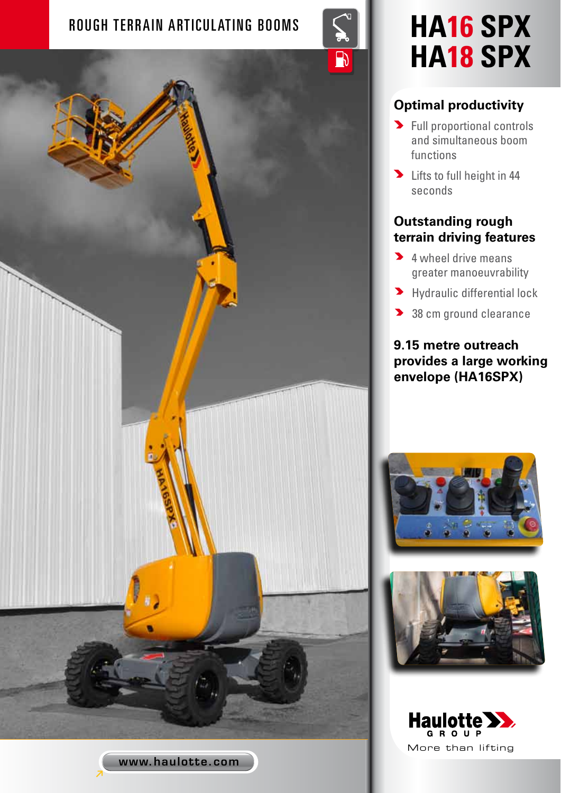## ROUGH TERRAIN ARTICULATING BOOMS **Sextem Property HA16 SPX**



# **HA18 SPX**

### **Optimal productivity**

- **>** Full proportional controls and simultaneous boom functions
- **D** Lifts to full height in 44 seconds

#### **Outstanding rough terrain driving features**

- **4** wheel drive means greater manoeuvrability
- **>** Hydraulic differential lock
- 38 cm ground clearance

#### **9.15 metre outreach provides a large working envelope (HA16SPX)**







www.haulotte.com